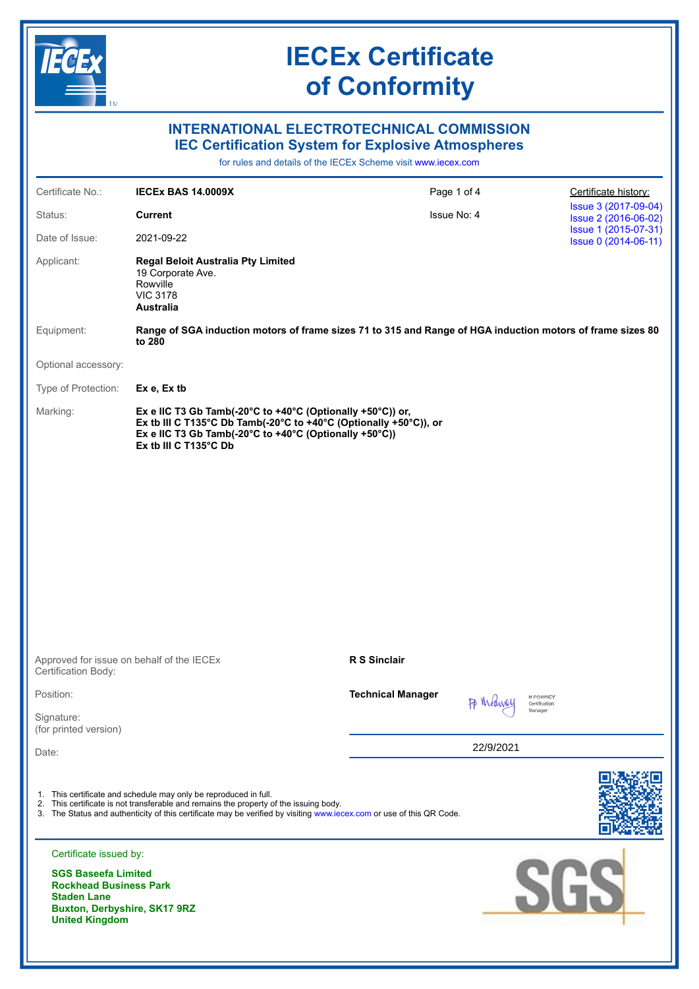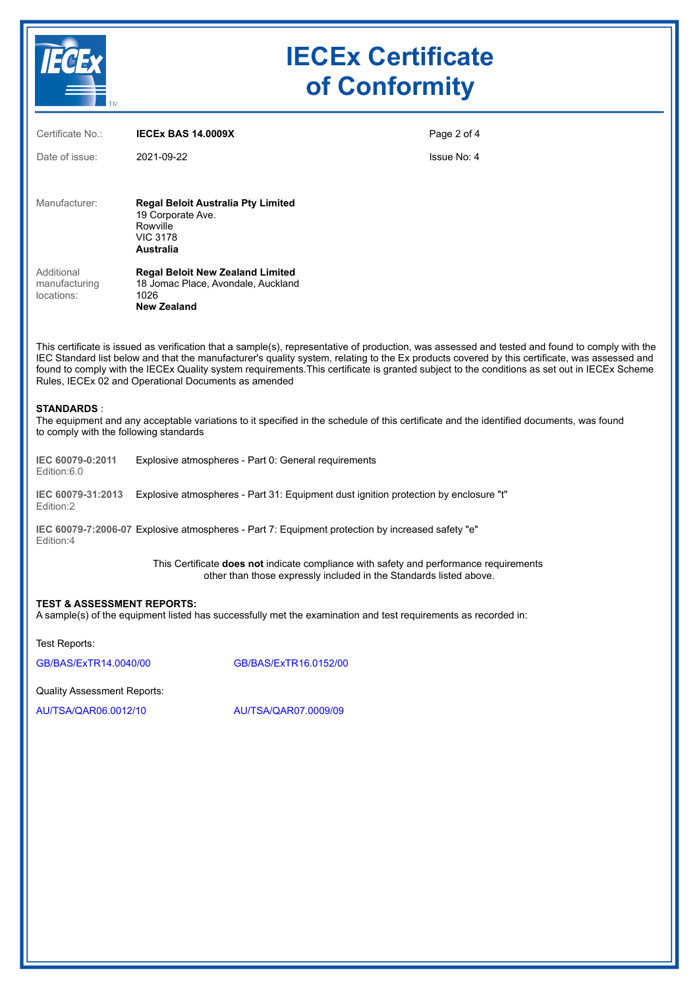

# **IECEx Certificate of Conformity**

| <b>TELESCOPE</b>                                                                                                                                                                                                                                                                                                                                                                                                                                                                                         |                                                                                                             |                       |                                                                                                                                                                     |  |
|----------------------------------------------------------------------------------------------------------------------------------------------------------------------------------------------------------------------------------------------------------------------------------------------------------------------------------------------------------------------------------------------------------------------------------------------------------------------------------------------------------|-------------------------------------------------------------------------------------------------------------|-----------------------|---------------------------------------------------------------------------------------------------------------------------------------------------------------------|--|
| Certificate No.:                                                                                                                                                                                                                                                                                                                                                                                                                                                                                         | <b>IECEX BAS 14.0009X</b>                                                                                   |                       | Page 2 of 4                                                                                                                                                         |  |
| Date of issue:                                                                                                                                                                                                                                                                                                                                                                                                                                                                                           | 2021-09-22                                                                                                  |                       | Issue No: 4                                                                                                                                                         |  |
|                                                                                                                                                                                                                                                                                                                                                                                                                                                                                                          |                                                                                                             |                       |                                                                                                                                                                     |  |
| Manufacturer:                                                                                                                                                                                                                                                                                                                                                                                                                                                                                            | <b>Regal Beloit Australia Pty Limited</b><br>19 Corporate Ave.<br>Rowville<br><b>VIC 3178</b><br>Australia  |                       |                                                                                                                                                                     |  |
| Additional<br>manufacturing<br>locations:                                                                                                                                                                                                                                                                                                                                                                                                                                                                | <b>Regal Beloit New Zealand Limited</b><br>18 Jomac Place, Avondale, Auckland<br>1026<br><b>New Zealand</b> |                       |                                                                                                                                                                     |  |
| This certificate is issued as verification that a sample(s), representative of production, was assessed and tested and found to comply with the<br>IEC Standard list below and that the manufacturer's quality system, relating to the Ex products covered by this certificate, was assessed and<br>found to comply with the IECEx Quality system requirements. This certificate is granted subject to the conditions as set out in IECEx Scheme<br>Rules, IECEx 02 and Operational Documents as amended |                                                                                                             |                       |                                                                                                                                                                     |  |
| <b>STANDARDS:</b><br>The equipment and any acceptable variations to it specified in the schedule of this certificate and the identified documents, was found<br>to comply with the following standards                                                                                                                                                                                                                                                                                                   |                                                                                                             |                       |                                                                                                                                                                     |  |
| IEC 60079-0:2011<br>Edition:6.0                                                                                                                                                                                                                                                                                                                                                                                                                                                                          | Explosive atmospheres - Part 0: General requirements                                                        |                       |                                                                                                                                                                     |  |
| IEC 60079-31:2013<br>Edition:2                                                                                                                                                                                                                                                                                                                                                                                                                                                                           | Explosive atmospheres - Part 31: Equipment dust ignition protection by enclosure "t"                        |                       |                                                                                                                                                                     |  |
| IEC 60079-7:2006-07 Explosive atmospheres - Part 7: Equipment protection by increased safety "e"<br>Edition:4                                                                                                                                                                                                                                                                                                                                                                                            |                                                                                                             |                       |                                                                                                                                                                     |  |
|                                                                                                                                                                                                                                                                                                                                                                                                                                                                                                          |                                                                                                             |                       | This Certificate <b>does not</b> indicate compliance with safety and performance requirements<br>other than those expressly included in the Standards listed above. |  |
| <b>TEST &amp; ASSESSMENT REPORTS:</b>                                                                                                                                                                                                                                                                                                                                                                                                                                                                    |                                                                                                             |                       | A sample(s) of the equipment listed has successfully met the examination and test requirements as recorded in:                                                      |  |
| Test Reports:                                                                                                                                                                                                                                                                                                                                                                                                                                                                                            |                                                                                                             |                       |                                                                                                                                                                     |  |
| GB/BAS/ExTR14.0040/00                                                                                                                                                                                                                                                                                                                                                                                                                                                                                    |                                                                                                             | GB/BAS/ExTR16.0152/00 |                                                                                                                                                                     |  |
| Quality Assessment Reports:                                                                                                                                                                                                                                                                                                                                                                                                                                                                              |                                                                                                             |                       |                                                                                                                                                                     |  |
| AU/TSA/QAR06.0012/10                                                                                                                                                                                                                                                                                                                                                                                                                                                                                     |                                                                                                             | AU/TSA/QAR07.0009/09  |                                                                                                                                                                     |  |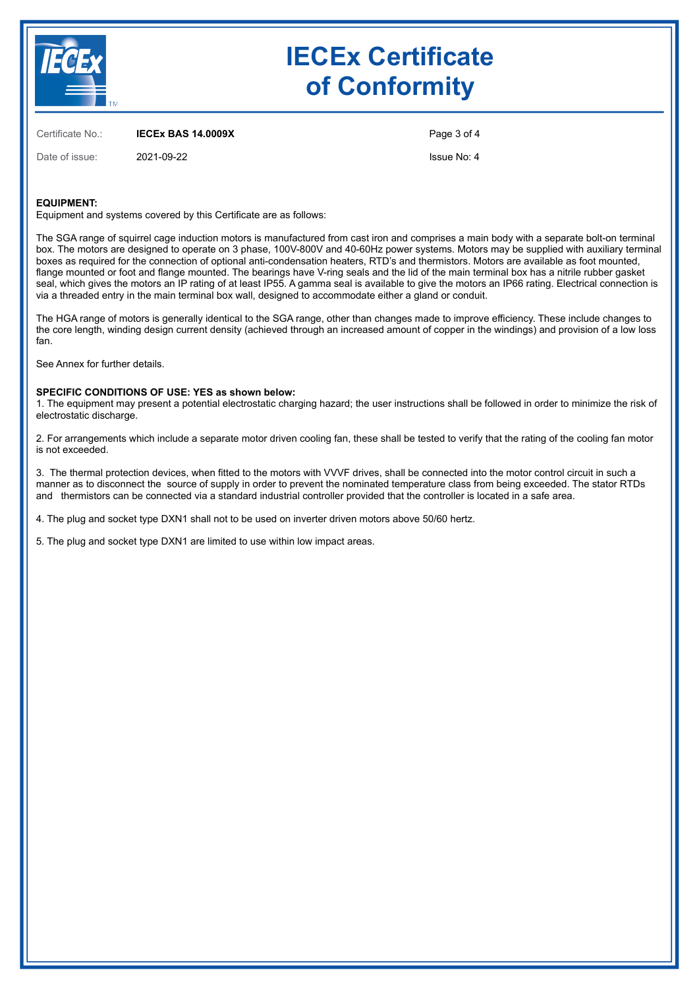

# **IECEx Certificate of Conformity**

Certificate No.: **IECEx BAS 14.0009X**

Date of issue: 2021-09-22

Page 3 of 4 Issue No: 4

**EQUIPMENT:**

Equipment and systems covered by this Certificate are as follows:

The SGA range of squirrel cage induction motors is manufactured from cast iron and comprises a main body with a separate bolt-on terminal box. The motors are designed to operate on 3 phase, 100V-800V and 40-60Hz power systems. Motors may be supplied with auxiliary terminal boxes as required for the connection of optional anti-condensation heaters, RTD's and thermistors. Motors are available as foot mounted, flange mounted or foot and flange mounted. The bearings have V-ring seals and the lid of the main terminal box has a nitrile rubber gasket seal, which gives the motors an IP rating of at least IP55. A gamma seal is available to give the motors an IP66 rating. Electrical connection is via a threaded entry in the main terminal box wall, designed to accommodate either a gland or conduit.

The HGA range of motors is generally identical to the SGA range, other than changes made to improve efficiency. These include changes to the core length, winding design current density (achieved through an increased amount of copper in the windings) and provision of a low loss fan.

See Annex for further details.

#### **SPECIFIC CONDITIONS OF USE: YES as shown below:**

1. The equipment may present a potential electrostatic charging hazard; the user instructions shall be followed in order to minimize the risk of electrostatic discharge.

2. For arrangements which include a separate motor driven cooling fan, these shall be tested to verify that the rating of the cooling fan motor is not exceeded.

3. The thermal protection devices, when fitted to the motors with VVVF drives, shall be connected into the motor control circuit in such a manner as to disconnect the source of supply in order to prevent the nominated temperature class from being exceeded. The stator RTDs and thermistors can be connected via a standard industrial controller provided that the controller is located in a safe area.

4. The plug and socket type DXN1 shall not to be used on inverter driven motors above 50/60 hertz.

5. The plug and socket type DXN1 are limited to use within low impact areas.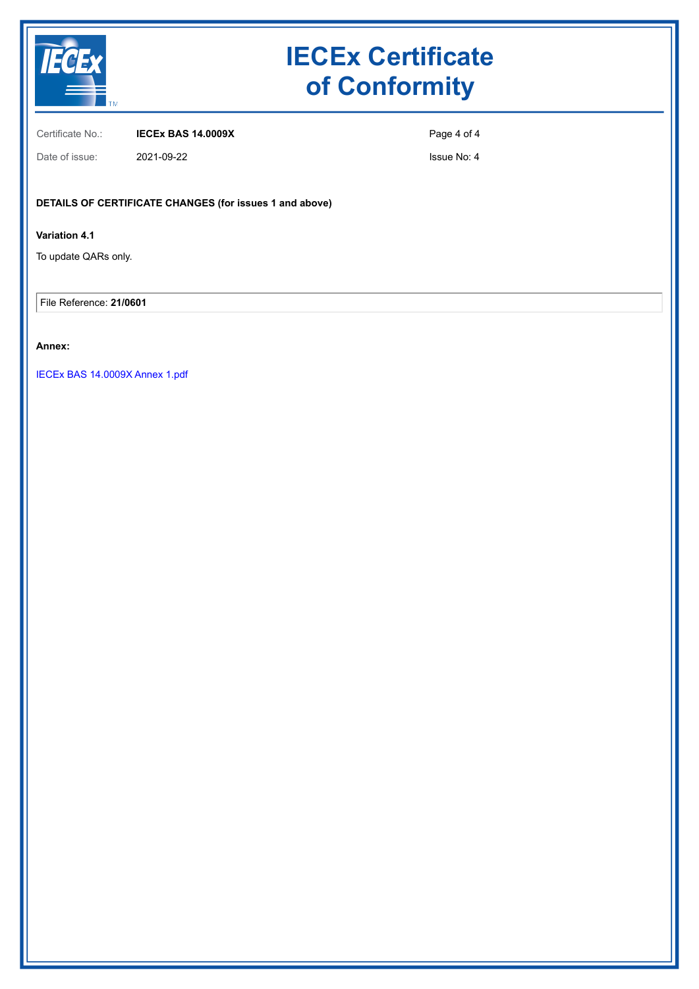

# **IECEx Certificate of Conformity**

Certificate No.: **IECEx BAS 14.0009X**

Page 4 of 4

Date of issue: 2021-09-22

Issue No: 4

## **DETAILS OF CERTIFICATE CHANGES (for issues 1 and above)**

## **Variation 4.1**

To update QARs only.

File Reference: **21/0601**

## **Annex:**

[IECEx BAS 14.0009X Annex 1.pdf](https://www.iecex-certs.com/#/deliverables/CERT/56980/view)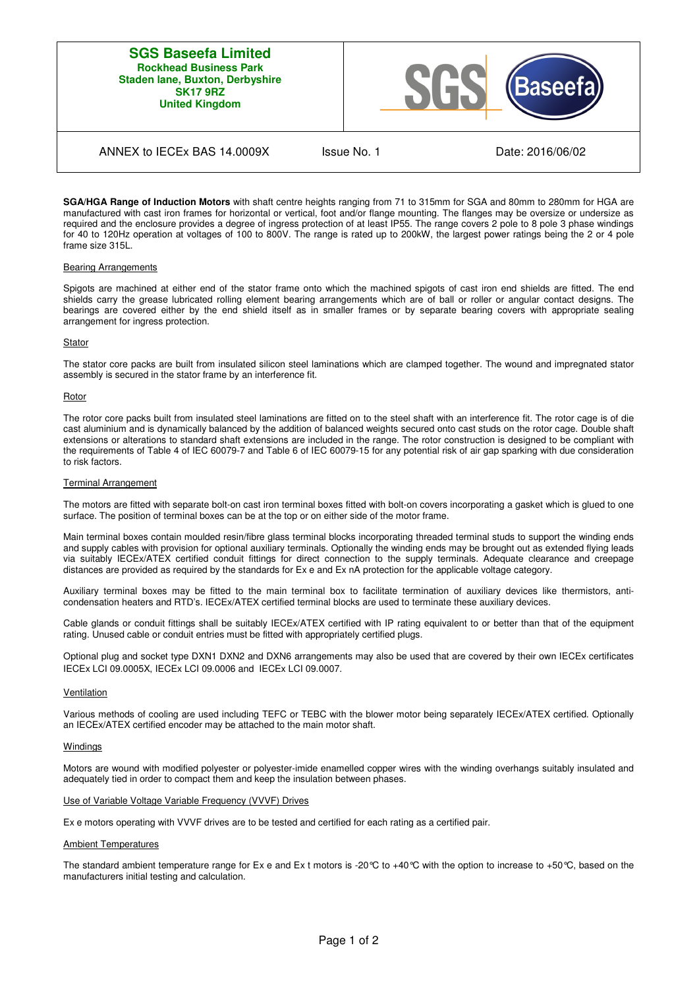### **SGS Baseefa Limited Rockhead Business Park Staden lane, Buxton, Derbyshire SK17 9RZ United Kingdom**



## ANNEX to IECEx BAS 14.0009X Issue No. 1 Date: 2016/06/02

**SGA/HGA Range of Induction Motors** with shaft centre heights ranging from 71 to 315mm for SGA and 80mm to 280mm for HGA are manufactured with cast iron frames for horizontal or vertical, foot and/or flange mounting. The flanges may be oversize or undersize as required and the enclosure provides a degree of ingress protection of at least IP55. The range covers 2 pole to 8 pole 3 phase windings for 40 to 120Hz operation at voltages of 100 to 800V. The range is rated up to 200kW, the largest power ratings being the 2 or 4 pole frame size 315L.

#### Bearing Arrangements

Spigots are machined at either end of the stator frame onto which the machined spigots of cast iron end shields are fitted. The end shields carry the grease lubricated rolling element bearing arrangements which are of ball or roller or angular contact designs. The bearings are covered either by the end shield itself as in smaller frames or by separate bearing covers with appropriate sealing arrangement for ingress protection.

#### **Stator**

The stator core packs are built from insulated silicon steel laminations which are clamped together. The wound and impregnated stator assembly is secured in the stator frame by an interference fit.

#### **Rotor**

The rotor core packs built from insulated steel laminations are fitted on to the steel shaft with an interference fit. The rotor cage is of die cast aluminium and is dynamically balanced by the addition of balanced weights secured onto cast studs on the rotor cage. Double shaft extensions or alterations to standard shaft extensions are included in the range. The rotor construction is designed to be compliant with the requirements of Table 4 of IEC 60079-7 and Table 6 of IEC 60079-15 for any potential risk of air gap sparking with due consideration to risk factors.

#### Terminal Arrangement

The motors are fitted with separate bolt-on cast iron terminal boxes fitted with bolt-on covers incorporating a gasket which is glued to one surface. The position of terminal boxes can be at the top or on either side of the motor frame.

Main terminal boxes contain moulded resin/fibre glass terminal blocks incorporating threaded terminal studs to support the winding ends and supply cables with provision for optional auxiliary terminals. Optionally the winding ends may be brought out as extended flying leads via suitably IECEx/ATEX certified conduit fittings for direct connection to the supply terminals. Adequate clearance and creepage distances are provided as required by the standards for Ex e and Ex nA protection for the applicable voltage category.

Auxiliary terminal boxes may be fitted to the main terminal box to facilitate termination of auxiliary devices like thermistors, anticondensation heaters and RTD's. IECEx/ATEX certified terminal blocks are used to terminate these auxiliary devices.

Cable glands or conduit fittings shall be suitably IECEx/ATEX certified with IP rating equivalent to or better than that of the equipment rating. Unused cable or conduit entries must be fitted with appropriately certified plugs.

Optional plug and socket type DXN1 DXN2 and DXN6 arrangements may also be used that are covered by their own IECEx certificates IECEx LCI 09.0005X, IECEx LCI 09.0006 and IECEx LCI 09.0007.

#### Ventilation

Various methods of cooling are used including TEFC or TEBC with the blower motor being separately IECEx/ATEX certified. Optionally an IECEx/ATEX certified encoder may be attached to the main motor shaft.

#### **Windings**

Motors are wound with modified polyester or polyester-imide enamelled copper wires with the winding overhangs suitably insulated and adequately tied in order to compact them and keep the insulation between phases.

#### Use of Variable Voltage Variable Frequency (VVVF) Drives

Ex e motors operating with VVVF drives are to be tested and certified for each rating as a certified pair.

#### Ambient Temperatures

The standard ambient temperature range for Ex e and Ex t motors is -20 $^{\circ}$ C to +40 $^{\circ}$ C with the option to increase to +50 $^{\circ}$ C, based on the manufacturers initial testing and calculation.